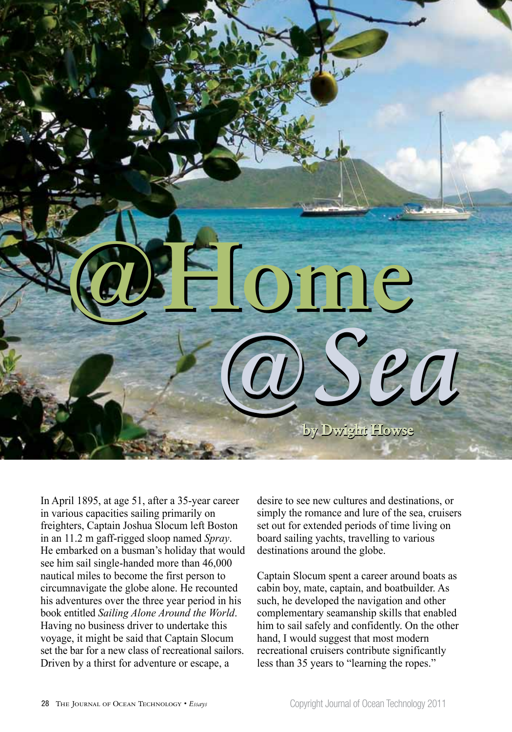

In April 1895, at age 51, after a 35-year career in various capacities sailing primarily on freighters, Captain Joshua Slocum left Boston in an 11.2 m gaff-rigged sloop named *Spray*. He embarked on a busman's holiday that would see him sail single-handed more than 46,000 nautical miles to become the first person to circumnavigate the globe alone. He recounted his adventures over the three year period in his book entitled *Sailing Alone Around the World*. Having no business driver to undertake this voyage, it might be said that Captain Slocum set the bar for a new class of recreational sailors. Driven by a thirst for adventure or escape, a

desire to see new cultures and destinations, or simply the romance and lure of the sea, cruisers set out for extended periods of time living on board sailing yachts, travelling to various destinations around the globe.

Captain Slocum spent a career around boats as cabin boy, mate, captain, and boatbuilder. As such, he developed the navigation and other complementary seamanship skills that enabled him to sail safely and confidently. On the other hand, I would suggest that most modern recreational cruisers contribute significantly less than 35 years to "learning the ropes."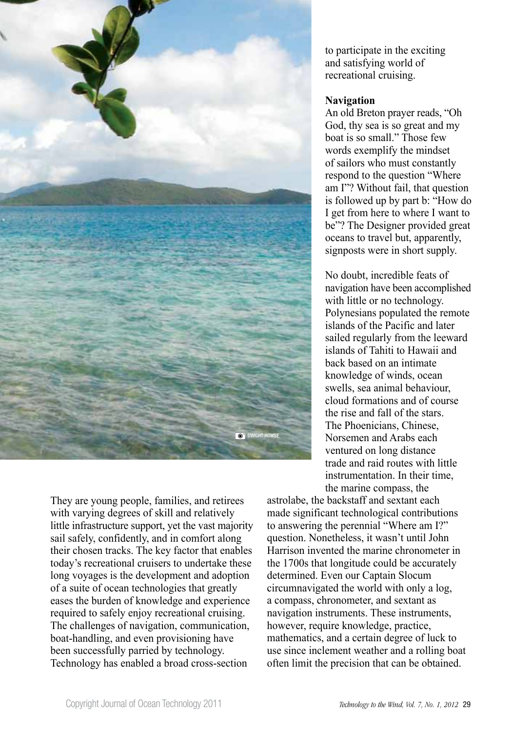

They are young people, families, and retirees with varying degrees of skill and relatively little infrastructure support, yet the vast majority sail safely, confidently, and in comfort along their chosen tracks. The key factor that enables today's recreational cruisers to undertake these long voyages is the development and adoption of a suite of ocean technologies that greatly eases the burden of knowledge and experience required to safely enjoy recreational cruising. The challenges of navigation, communication, boat-handling, and even provisioning have been successfully parried by technology. Technology has enabled a broad cross-section

to participate in the exciting and satisfying world of recreational cruising.

## **Navigation**

An old Breton prayer reads, "Oh God, thy sea is so great and my boat is so small." Those few words exemplify the mindset of sailors who must constantly respond to the question "Where am I"? Without fail, that question is followed up by part b: "How do I get from here to where I want to be"? The Designer provided great oceans to travel but, apparently, signposts were in short supply.

No doubt, incredible feats of navigation have been accomplished with little or no technology. Polynesians populated the remote islands of the Pacific and later sailed regularly from the leeward islands of Tahiti to Hawaii and back based on an intimate knowledge of winds, ocean swells, sea animal behaviour, cloud formations and of course the rise and fall of the stars. The Phoenicians, Chinese, Norsemen and Arabs each ventured on long distance trade and raid routes with little instrumentation. In their time, the marine compass, the

astrolabe, the backstaff and sextant each made significant technological contributions to answering the perennial "Where am I?" question. Nonetheless, it wasn't until John Harrison invented the marine chronometer in the 1700s that longitude could be accurately determined. Even our Captain Slocum circumnavigated the world with only a log, a compass, chronometer, and sextant as navigation instruments. These instruments, however, require knowledge, practice, mathematics, and a certain degree of luck to use since inclement weather and a rolling boat often limit the precision that can be obtained.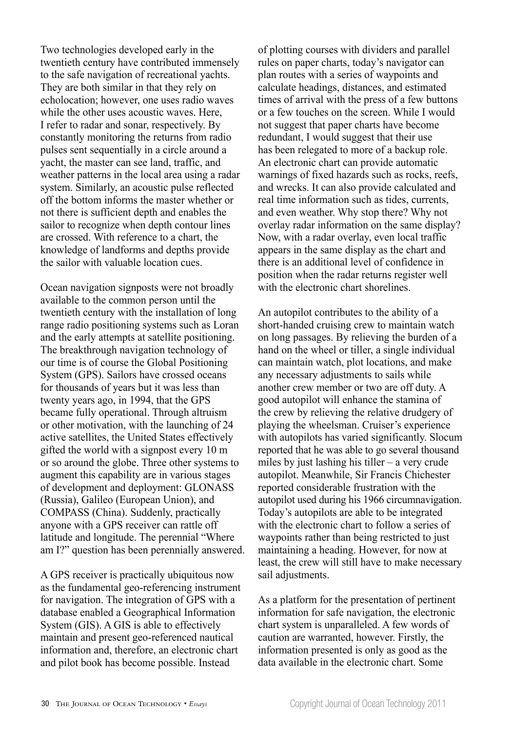Two technologies developed early in the twentieth century have contributed immensely to the safe navigation of recreational yachts. They are both similar in that they rely on echolocation; however, one uses radio waves while the other uses acoustic waves. Here, I refer to radar and sonar, respectively. By constantly monitoring the returns from radio pulses sent sequentially in a circle around a yacht, the master can see land, traffic, and weather patterns in the local area using a radar system. Similarly, an acoustic pulse reflected off the bottom informs the master whether or not there is sufficient depth and enables the sailor to recognize when depth contour lines are crossed. With reference to a chart, the knowledge of landforms and depths provide the sailor with valuable location cues.

Ocean navigation signposts were not broadly available to the common person until the twentieth century with the installation of long range radio positioning systems such as Loran and the early attempts at satellite positioning. The breakthrough navigation technology of our time is of course the Global Positioning System (GPS). Sailors have crossed oceans for thousands of years but it was less than twenty years ago, in 1994, that the GPS became fully operational. Through altruism or other motivation, with the launching of 24 active satellites, the United States effectively gifted the world with a signpost every 10 m or so around the globe. Three other systems to augment this capability are in various stages of development and deployment: GLONASS (Russia), Galileo (European Union), and COMPASS (China). Suddenly, practically anyone with a GPS receiver can rattle off latitude and longitude. The perennial "Where am I?" question has been perennially answered.

A GPS receiver is practically ubiquitous now as the fundamental geo-referencing instrument for navigation. The integration of GPS with a database enabled a Geographical Information System (GIS). A GIS is able to effectively maintain and present geo-referenced nautical information and, therefore, an electronic chart and pilot book has become possible. Instead

of plotting courses with dividers and parallel rules on paper charts, today's navigator can plan routes with a series of waypoints and calculate headings, distances, and estimated times of arrival with the press of a few buttons or a few touches on the screen. While I would not suggest that paper charts have become redundant, I would suggest that their use has been relegated to more of a backup role. An electronic chart can provide automatic warnings of fixed hazards such as rocks, reefs, and wrecks. It can also provide calculated and real time information such as tides, currents, and even weather. Why stop there? Why not overlay radar information on the same display? Now, with a radar overlay, even local traffic appears in the same display as the chart and there is an additional level of confidence in position when the radar returns register well with the electronic chart shorelines.

An autopilot contributes to the ability of a short-handed cruising crew to maintain watch on long passages. By relieving the burden of a hand on the wheel or tiller, a single individual can maintain watch, plot locations, and make any necessary adjustments to sails while another crew member or two are off duty. A good autopilot will enhance the stamina of the crew by relieving the relative drudgery of playing the wheelsman. Cruiser's experience with autopilots has varied significantly. Slocum reported that he was able to go several thousand miles by just lashing his tiller – a very crude autopilot. Meanwhile, Sir Francis Chichester reported considerable frustration with the autopilot used during his 1966 circumnavigation. Today's autopilots are able to be integrated with the electronic chart to follow a series of waypoints rather than being restricted to just maintaining a heading. However, for now at least, the crew will still have to make necessary sail adjustments.

As a platform for the presentation of pertinent information for safe navigation, the electronic chart system is unparalleled. A few words of caution are warranted, however. Firstly, the information presented is only as good as the data available in the electronic chart. Some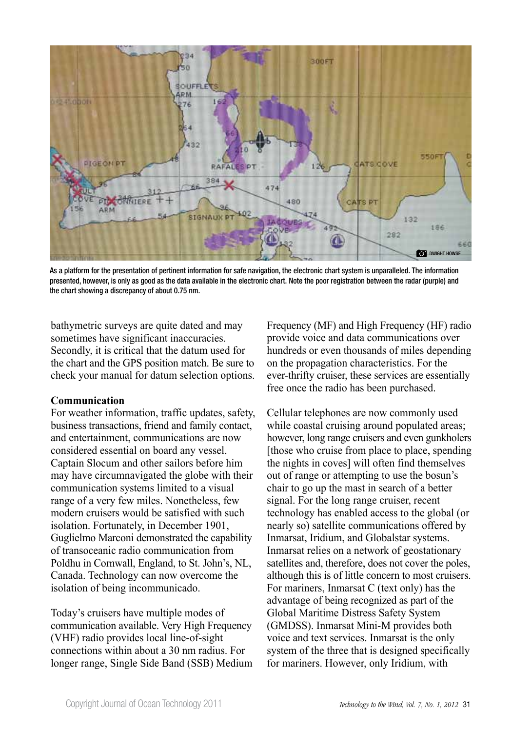

As a platform for the presentation of pertinent information for safe navigation, the electronic chart system is unparalleled. The information presented, however, is only as good as the data available in the electronic chart. Note the poor registration between the radar (purple) and the chart showing a discrepancy of about 0.75 nm.

bathymetric surveys are quite dated and may sometimes have significant inaccuracies. Secondly, it is critical that the datum used for the chart and the GPS position match. Be sure to check your manual for datum selection options.

#### **Communication**

For weather information, traffic updates, safety, business transactions, friend and family contact, and entertainment, communications are now considered essential on board any vessel. Captain Slocum and other sailors before him may have circumnavigated the globe with their communication systems limited to a visual range of a very few miles. Nonetheless, few modern cruisers would be satisfied with such isolation. Fortunately, in December 1901, Guglielmo Marconi demonstrated the capability of transoceanic radio communication from Poldhu in Cornwall, England, to St. John's, NL, Canada. Technology can now overcome the isolation of being incommunicado.

Today's cruisers have multiple modes of communication available. Very High Frequency (VHF) radio provides local line-of-sight connections within about a 30 nm radius. For longer range, Single Side Band (SSB) Medium

Frequency (MF) and High Frequency (HF) radio provide voice and data communications over hundreds or even thousands of miles depending on the propagation characteristics. For the ever-thrifty cruiser, these services are essentially free once the radio has been purchased.

Cellular telephones are now commonly used while coastal cruising around populated areas; however, long range cruisers and even gunkholers [those who cruise from place to place, spending the nights in coves] will often find themselves out of range or attempting to use the bosun's chair to go up the mast in search of a better signal. For the long range cruiser, recent technology has enabled access to the global (or nearly so) satellite communications offered by Inmarsat, Iridium, and Globalstar systems. Inmarsat relies on a network of geostationary satellites and, therefore, does not cover the poles, although this is of little concern to most cruisers. For mariners, Inmarsat C (text only) has the advantage of being recognized as part of the Global Maritime Distress Safety System (GMDSS). Inmarsat Mini-M provides both voice and text services. Inmarsat is the only system of the three that is designed specifically for mariners. However, only Iridium, with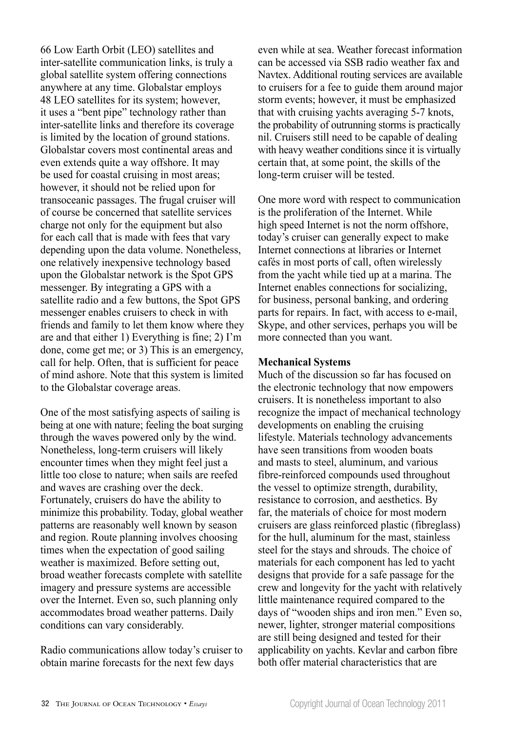66 Low Earth Orbit (LEO) satellites and inter-satellite communication links, is truly a global satellite system offering connections anywhere at any time. Globalstar employs 48 LEO satellites for its system; however, it uses a "bent pipe" technology rather than inter-satellite links and therefore its coverage is limited by the location of ground stations. Globalstar covers most continental areas and even extends quite a way offshore. It may be used for coastal cruising in most areas; however, it should not be relied upon for transoceanic passages. The frugal cruiser will of course be concerned that satellite services charge not only for the equipment but also for each call that is made with fees that vary depending upon the data volume. Nonetheless, one relatively inexpensive technology based upon the Globalstar network is the Spot GPS messenger. By integrating a GPS with a satellite radio and a few buttons, the Spot GPS messenger enables cruisers to check in with friends and family to let them know where they are and that either 1) Everything is fine; 2) I'm done, come get me; or 3) This is an emergency, call for help. Often, that is sufficient for peace of mind ashore. Note that this system is limited to the Globalstar coverage areas.

One of the most satisfying aspects of sailing is being at one with nature; feeling the boat surging through the waves powered only by the wind. Nonetheless, long-term cruisers will likely encounter times when they might feel just a little too close to nature; when sails are reefed and waves are crashing over the deck. Fortunately, cruisers do have the ability to minimize this probability. Today, global weather patterns are reasonably well known by season and region. Route planning involves choosing times when the expectation of good sailing weather is maximized. Before setting out, broad weather forecasts complete with satellite imagery and pressure systems are accessible over the Internet. Even so, such planning only accommodates broad weather patterns. Daily conditions can vary considerably.

Radio communications allow today's cruiser to obtain marine forecasts for the next few days

even while at sea. Weather forecast information can be accessed via SSB radio weather fax and Navtex. Additional routing services are available to cruisers for a fee to guide them around major storm events; however, it must be emphasized that with cruising yachts averaging 5-7 knots, the probability of outrunning storms is practically nil. Cruisers still need to be capable of dealing with heavy weather conditions since it is virtually certain that, at some point, the skills of the long-term cruiser will be tested.

One more word with respect to communication is the proliferation of the Internet. While high speed Internet is not the norm offshore, today's cruiser can generally expect to make Internet connections at libraries or Internet cafés in most ports of call, often wirelessly from the yacht while tied up at a marina. The Internet enables connections for socializing, for business, personal banking, and ordering parts for repairs. In fact, with access to e-mail, Skype, and other services, perhaps you will be more connected than you want.

### **Mechanical Systems**

Much of the discussion so far has focused on the electronic technology that now empowers cruisers. It is nonetheless important to also recognize the impact of mechanical technology developments on enabling the cruising lifestyle. Materials technology advancements have seen transitions from wooden boats and masts to steel, aluminum, and various fibre-reinforced compounds used throughout the vessel to optimize strength, durability, resistance to corrosion, and aesthetics. By far, the materials of choice for most modern cruisers are glass reinforced plastic (fibreglass) for the hull, aluminum for the mast, stainless steel for the stays and shrouds. The choice of materials for each component has led to yacht designs that provide for a safe passage for the crew and longevity for the yacht with relatively little maintenance required compared to the days of "wooden ships and iron men." Even so, newer, lighter, stronger material compositions are still being designed and tested for their applicability on yachts. Kevlar and carbon fibre both offer material characteristics that are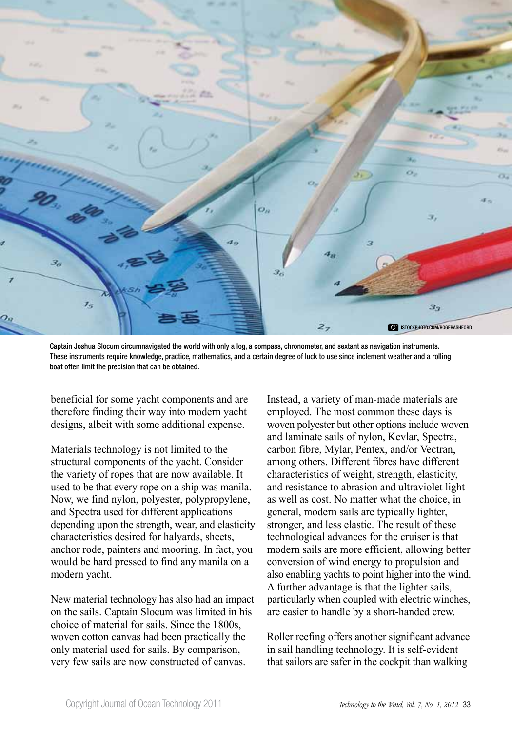

Captain Joshua Slocum circumnavigated the world with only a log, a compass, chronometer, and sextant as navigation instruments. These instruments require knowledge, practice, mathematics, and a certain degree of luck to use since inclement weather and a rolling boat often limit the precision that can be obtained.

beneficial for some yacht components and are therefore finding their way into modern yacht designs, albeit with some additional expense.

Materials technology is not limited to the structural components of the yacht. Consider the variety of ropes that are now available. It used to be that every rope on a ship was manila. Now, we find nylon, polyester, polypropylene, and Spectra used for different applications depending upon the strength, wear, and elasticity characteristics desired for halyards, sheets, anchor rode, painters and mooring. In fact, you would be hard pressed to find any manila on a modern yacht.

New material technology has also had an impact on the sails. Captain Slocum was limited in his choice of material for sails. Since the 1800s, woven cotton canvas had been practically the only material used for sails. By comparison, very few sails are now constructed of canvas.

Instead, a variety of man-made materials are employed. The most common these days is woven polyester but other options include woven and laminate sails of nylon, Kevlar, Spectra, carbon fibre, Mylar, Pentex, and/or Vectran, among others. Different fibres have different characteristics of weight, strength, elasticity, and resistance to abrasion and ultraviolet light as well as cost. No matter what the choice, in general, modern sails are typically lighter, stronger, and less elastic. The result of these technological advances for the cruiser is that modern sails are more efficient, allowing better conversion of wind energy to propulsion and also enabling yachts to point higher into the wind. A further advantage is that the lighter sails, particularly when coupled with electric winches, are easier to handle by a short-handed crew.

Roller reefing offers another significant advance in sail handling technology. It is self-evident that sailors are safer in the cockpit than walking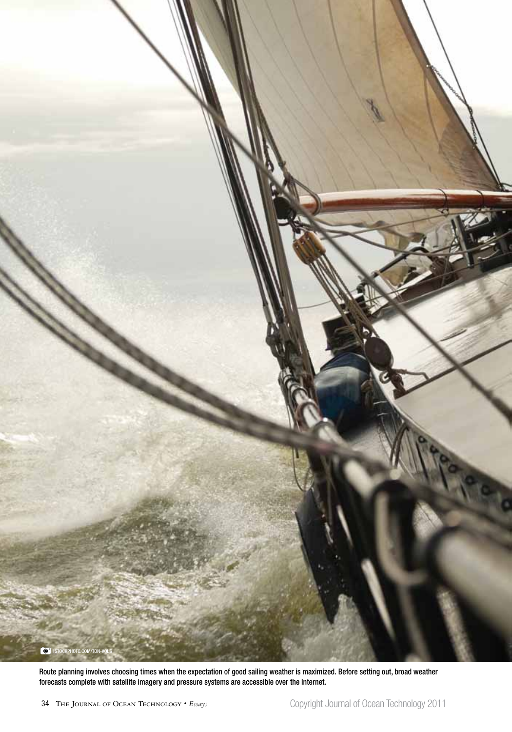

Route planning involves choosing times when the expectation of good sailing weather is maximized. Before setting out, broad weather forecasts complete with satellite imagery and pressure systems are accessible over the Internet.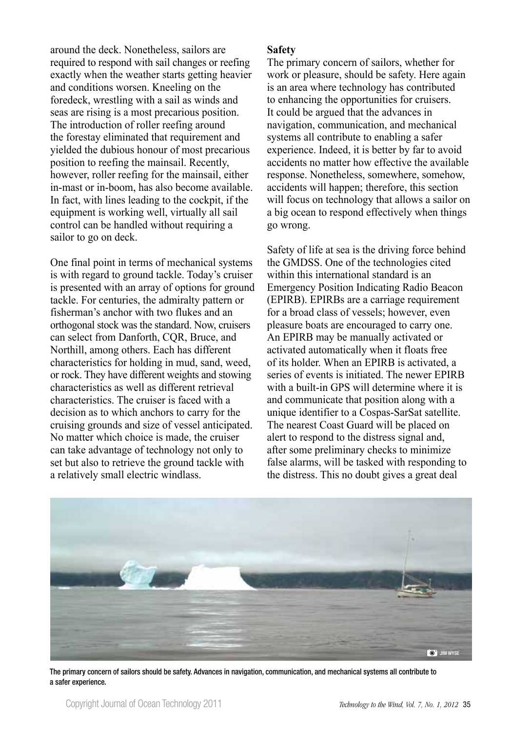around the deck. Nonetheless, sailors are required to respond with sail changes or reefing exactly when the weather starts getting heavier and conditions worsen. Kneeling on the foredeck, wrestling with a sail as winds and seas are rising is a most precarious position. The introduction of roller reefing around the forestay eliminated that requirement and yielded the dubious honour of most precarious position to reefing the mainsail. Recently, however, roller reefing for the mainsail, either in-mast or in-boom, has also become available. In fact, with lines leading to the cockpit, if the equipment is working well, virtually all sail control can be handled without requiring a sailor to go on deck.

One final point in terms of mechanical systems is with regard to ground tackle. Today's cruiser is presented with an array of options for ground tackle. For centuries, the admiralty pattern or fisherman's anchor with two flukes and an orthogonal stock was the standard. Now, cruisers can select from Danforth, CQR, Bruce, and Northill, among others. Each has different characteristics for holding in mud, sand, weed, or rock. They have different weights and stowing characteristics as well as different retrieval characteristics. The cruiser is faced with a decision as to which anchors to carry for the cruising grounds and size of vessel anticipated. No matter which choice is made, the cruiser can take advantage of technology not only to set but also to retrieve the ground tackle with a relatively small electric windlass.

# **Safety**

The primary concern of sailors, whether for work or pleasure, should be safety. Here again is an area where technology has contributed to enhancing the opportunities for cruisers. It could be argued that the advances in navigation, communication, and mechanical systems all contribute to enabling a safer experience. Indeed, it is better by far to avoid accidents no matter how effective the available response. Nonetheless, somewhere, somehow, accidents will happen; therefore, this section will focus on technology that allows a sailor on a big ocean to respond effectively when things go wrong.

Safety of life at sea is the driving force behind the GMDSS. One of the technologies cited within this international standard is an Emergency Position Indicating Radio Beacon (EPIRB). EPIRBs are a carriage requirement for a broad class of vessels; however, even pleasure boats are encouraged to carry one. An EPIRB may be manually activated or activated automatically when it floats free of its holder. When an EPIRB is activated, a series of events is initiated. The newer EPIRB with a built-in GPS will determine where it is and communicate that position along with a unique identifier to a Cospas-SarSat satellite. The nearest Coast Guard will be placed on alert to respond to the distress signal and, after some preliminary checks to minimize false alarms, will be tasked with responding to the distress. This no doubt gives a great deal



The primary concern of sailors should be safety. Advances in navigation, communication, and mechanical systems all contribute to a safer experience.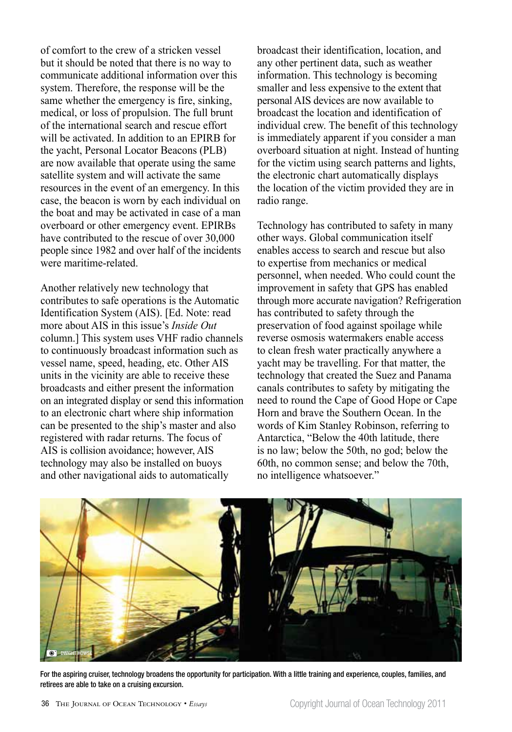of comfort to the crew of a stricken vessel but it should be noted that there is no way to communicate additional information over this system. Therefore, the response will be the same whether the emergency is fire, sinking, medical, or loss of propulsion. The full brunt of the international search and rescue effort will be activated. In addition to an EPIRB for the yacht, Personal Locator Beacons (PLB) are now available that operate using the same satellite system and will activate the same resources in the event of an emergency. In this case, the beacon is worn by each individual on the boat and may be activated in case of a man overboard or other emergency event. EPIRBs have contributed to the rescue of over 30,000 people since 1982 and over half of the incidents were maritime-related.

Another relatively new technology that contributes to safe operations is the Automatic Identification System (AIS). [Ed. Note: read more about AIS in this issue's *Inside Out*  column.] This system uses VHF radio channels to continuously broadcast information such as vessel name, speed, heading, etc. Other AIS units in the vicinity are able to receive these broadcasts and either present the information on an integrated display or send this information to an electronic chart where ship information can be presented to the ship's master and also registered with radar returns. The focus of AIS is collision avoidance; however, AIS technology may also be installed on buoys and other navigational aids to automatically

broadcast their identification, location, and any other pertinent data, such as weather information. This technology is becoming smaller and less expensive to the extent that personal AIS devices are now available to broadcast the location and identification of individual crew. The benefit of this technology is immediately apparent if you consider a man overboard situation at night. Instead of hunting for the victim using search patterns and lights, the electronic chart automatically displays the location of the victim provided they are in radio range.

Technology has contributed to safety in many other ways. Global communication itself enables access to search and rescue but also to expertise from mechanics or medical personnel, when needed. Who could count the improvement in safety that GPS has enabled through more accurate navigation? Refrigeration has contributed to safety through the preservation of food against spoilage while reverse osmosis watermakers enable access to clean fresh water practically anywhere a yacht may be travelling. For that matter, the technology that created the Suez and Panama canals contributes to safety by mitigating the need to round the Cape of Good Hope or Cape Horn and brave the Southern Ocean. In the words of Kim Stanley Robinson, referring to Antarctica, "Below the 40th latitude, there is no law; below the 50th, no god; below the 60th, no common sense; and below the 70th, no intelligence whatsoever."



For the aspiring cruiser, technology broadens the opportunity for participation. With a little training and experience, couples, families, and retirees are able to take on a cruising excursion.